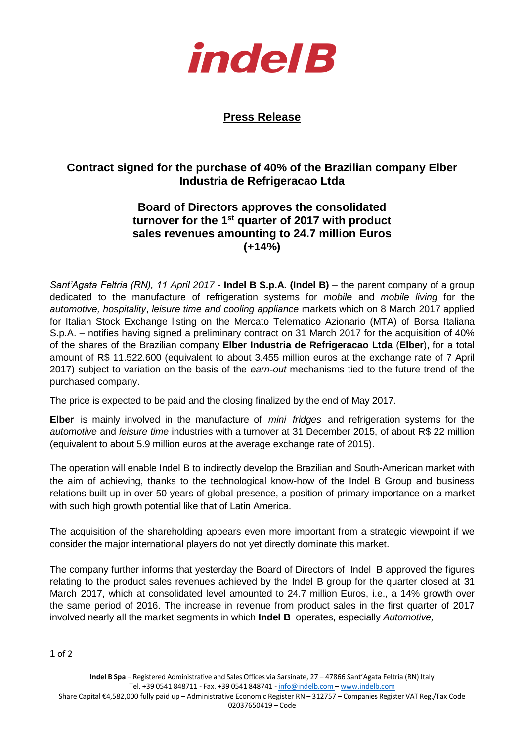

## **Press Release**

## **Contract signed for the purchase of 40% of the Brazilian company Elber Industria de Refrigeracao Ltda**

## **Board of Directors approves the consolidated turnover for the 1st quarter of 2017 with product sales revenues amounting to 24.7 million Euros (+14%)**

*Sant'Agata Feltria (RN), 11 April 2017* - **Indel B S.p.A. (Indel B)** – the parent company of a group dedicated to the manufacture of refrigeration systems for *mobile* and *mobile living* for the *automotive, hospitality*, *leisure time and cooling appliance* markets which on 8 March 2017 applied for Italian Stock Exchange listing on the Mercato Telematico Azionario (MTA) of Borsa Italiana S.p.A. – notifies having signed a preliminary contract on 31 March 2017 for the acquisition of 40% of the shares of the Brazilian company **Elber Industria de Refrigeracao Ltda** (**Elber**), for a total amount of R\$ 11.522.600 (equivalent to about 3.455 million euros at the exchange rate of 7 April 2017) subject to variation on the basis of the *earn-out* mechanisms tied to the future trend of the purchased company.

The price is expected to be paid and the closing finalized by the end of May 2017.

**Elber** is mainly involved in the manufacture of *mini fridges* and refrigeration systems for the *automotive* and *leisure time* industries with a turnover at 31 December 2015, of about R\$ 22 million (equivalent to about 5.9 million euros at the average exchange rate of 2015).

The operation will enable Indel B to indirectly develop the Brazilian and South-American market with the aim of achieving, thanks to the technological know-how of the Indel B Group and business relations built up in over 50 years of global presence, a position of primary importance on a market with such high growth potential like that of Latin America.

The acquisition of the shareholding appears even more important from a strategic viewpoint if we consider the major international players do not yet directly dominate this market.

The company further informs that yesterday the Board of Directors of Indel B approved the figures relating to the product sales revenues achieved by the Indel B group for the quarter closed at 31 March 2017, which at consolidated level amounted to 24.7 million Euros, i.e., a 14% growth over the same period of 2016. The increase in revenue from product sales in the first quarter of 2017 involved nearly all the market segments in which **Indel B** operates, especially *Automotive,*

1 of 2